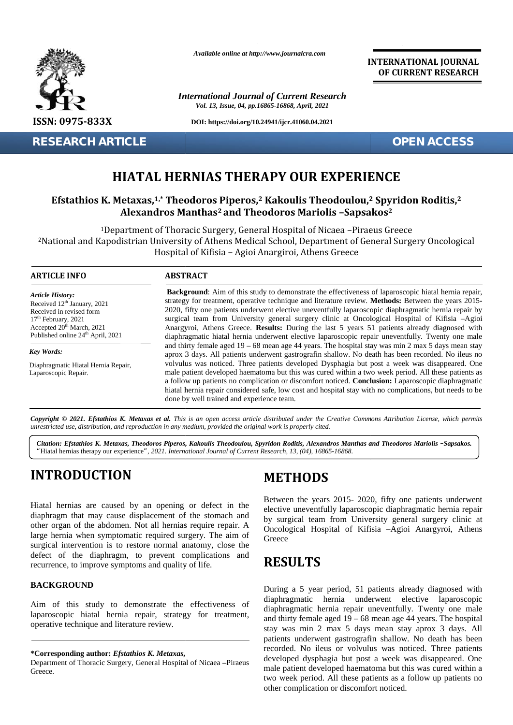

**RESEARCH ARTICLE OPEN ACCESS**

*Available online at http://www.journalcra.com*

*International Journal of Current Research Vol. 13, Issue, 04, pp.16865-16868, April, 2021*

**DOI: https://doi.org/10.24941/ijcr.41060.04.2021**

**INTERNATIONAL JOURNAL OF CURRENT RESEARCH**

### **HIATAL HERNIAS THERAPY OUR EXPERIENCE**

### **Efstathios K. Metaxas,1,\* Theodoros Piperos,<sup>2</sup> Kakoulis Theodoulou,<sup>2</sup> Spyridon Roditis,<sup>2</sup> Spyridon Roditis,22–Sapsakos2Alexandros Manthas<sup>2</sup> and Theodoros Mariolis –Sapsakos<sup>2</sup>**

| <b>RESEARCH ARTICLE</b>                                                                                                                                                                                                                                                                                                                                                                                                               |                                                                                                                                                                                                                                                                                                                                                                                                                                                                                                                                                                                                                            | <b>OPEN ACCESS</b>                                                                                                                                                                                                                                                                                                                                                                                                                                                                                                                                                                                                       |  |
|---------------------------------------------------------------------------------------------------------------------------------------------------------------------------------------------------------------------------------------------------------------------------------------------------------------------------------------------------------------------------------------------------------------------------------------|----------------------------------------------------------------------------------------------------------------------------------------------------------------------------------------------------------------------------------------------------------------------------------------------------------------------------------------------------------------------------------------------------------------------------------------------------------------------------------------------------------------------------------------------------------------------------------------------------------------------------|--------------------------------------------------------------------------------------------------------------------------------------------------------------------------------------------------------------------------------------------------------------------------------------------------------------------------------------------------------------------------------------------------------------------------------------------------------------------------------------------------------------------------------------------------------------------------------------------------------------------------|--|
|                                                                                                                                                                                                                                                                                                                                                                                                                                       |                                                                                                                                                                                                                                                                                                                                                                                                                                                                                                                                                                                                                            | <b>HIATAL HERNIAS THERAPY OUR EXPERIENCE</b>                                                                                                                                                                                                                                                                                                                                                                                                                                                                                                                                                                             |  |
|                                                                                                                                                                                                                                                                                                                                                                                                                                       |                                                                                                                                                                                                                                                                                                                                                                                                                                                                                                                                                                                                                            | Efstathios K. Metaxas, <sup>1,*</sup> Theodoros Piperos, <sup>2</sup> Kakoulis Theodoulou, <sup>2</sup> Spyridon Roditis, <sup>2</sup><br>Alexandros Manthas <sup>2</sup> and Theodoros Mariolis -Sapsakos <sup>2</sup>                                                                                                                                                                                                                                                                                                                                                                                                  |  |
|                                                                                                                                                                                                                                                                                                                                                                                                                                       |                                                                                                                                                                                                                                                                                                                                                                                                                                                                                                                                                                                                                            | <sup>1</sup> Department of Thoracic Surgery, General Hospital of Nicaea -Piraeus Greece<br><sup>2</sup> National and Kapodistrian University of Athens Medical School, Department of General Surgery Oncological<br>Hospital of Kifisia - Agioi Anargiroi, Athens Greece                                                                                                                                                                                                                                                                                                                                                 |  |
| <b>ARTICLE INFO</b>                                                                                                                                                                                                                                                                                                                                                                                                                   | <b>ABSTRACT</b>                                                                                                                                                                                                                                                                                                                                                                                                                                                                                                                                                                                                            |                                                                                                                                                                                                                                                                                                                                                                                                                                                                                                                                                                                                                          |  |
| <b>Article History:</b><br>Received 12 <sup>th</sup> January, 2021<br>Received in revised form<br>17 <sup>th</sup> February, 2021<br>Accepted 20 <sup>th</sup> March, 2021<br>Published online 24 <sup>th</sup> April, 2021                                                                                                                                                                                                           | Background: Aim of this study to demonstrate the effectiveness of laparoscopic hiatal hernia repair,<br>strategy for treatment, operative technique and literature review. Methods: Between the years 2015-<br>2020, fifty one patients underwent elective uneventfully laparoscopic diaphragmatic hernia repair by<br>surgical team from University general surgery clinic at Oncological Hospital of Kifisia -Agioi<br>Anargyroi, Athens Greece. Results: During the last 5 years 51 patients already diagnosed with<br>diaphragmatic hiatal hernia underwent elective laparoscopic repair uneventfully. Twenty one male |                                                                                                                                                                                                                                                                                                                                                                                                                                                                                                                                                                                                                          |  |
| Key Words:                                                                                                                                                                                                                                                                                                                                                                                                                            |                                                                                                                                                                                                                                                                                                                                                                                                                                                                                                                                                                                                                            | and thirty female aged $19 - 68$ mean age 44 years. The hospital stay was min 2 max 5 days mean stay<br>aprox 3 days. All patients underwent gastrografin shallow. No death has been recorded. No ileus no                                                                                                                                                                                                                                                                                                                                                                                                               |  |
| Diaphragmatic Hiatal Hernia Repair,<br>Laparoscopic Repair.                                                                                                                                                                                                                                                                                                                                                                           | volvulus was noticed. Three patients developed Dysphagia but post a week was disappeared. One<br>male patient developed haematoma but this was cured within a two week period. All these patients as<br>a follow up patients no complication or discomfort noticed. Conclusion: Laparoscopic diaphragmatic<br>hiatal hernia repair considered safe, low cost and hospital stay with no complications, but needs to be<br>done by well trained and experience team.                                                                                                                                                         |                                                                                                                                                                                                                                                                                                                                                                                                                                                                                                                                                                                                                          |  |
| unrestricted use, distribution, and reproduction in any medium, provided the original work is properly cited.                                                                                                                                                                                                                                                                                                                         |                                                                                                                                                                                                                                                                                                                                                                                                                                                                                                                                                                                                                            | Copyright © 2021. Efstathios K. Metaxas et al. This is an open access article distributed under the Creative Commons Attribution License, which permits<br>Citation: Efstathios K. Metaxas, Theodoros Piperos, Kakoulis Theodoulou, Spyridon Roditis, Alexandros Manthas and Theodoros Mariolis -Sapsakos.                                                                                                                                                                                                                                                                                                               |  |
| "Hiatal hernias therapy our experience", 2021. International Journal of Current Research, 13, (04), 16865-16868.                                                                                                                                                                                                                                                                                                                      |                                                                                                                                                                                                                                                                                                                                                                                                                                                                                                                                                                                                                            |                                                                                                                                                                                                                                                                                                                                                                                                                                                                                                                                                                                                                          |  |
| <b>INTRODUCTION</b>                                                                                                                                                                                                                                                                                                                                                                                                                   |                                                                                                                                                                                                                                                                                                                                                                                                                                                                                                                                                                                                                            | <b>METHODS</b>                                                                                                                                                                                                                                                                                                                                                                                                                                                                                                                                                                                                           |  |
| Hiatal hernias are caused by an opening or defect in the<br>diaphragm that may cause displacement of the stomach and<br>other organ of the abdomen. Not all hernias require repair. A<br>large hernia when symptomatic required surgery. The aim of<br>surgical intervention is to restore normal anatomy, close the<br>defect of the diaphragm, to prevent complications and<br>recurrence, to improve symptoms and quality of life. |                                                                                                                                                                                                                                                                                                                                                                                                                                                                                                                                                                                                                            | Between the years 2015-2020, fifty one patients underwent<br>elective uneventfully laparoscopic diaphragmatic hernia repair<br>by surgical team from University general surgery clinic at<br>Oncological Hospital of Kifisia -Agioi Anargyroi, Athens<br>Greece                                                                                                                                                                                                                                                                                                                                                          |  |
|                                                                                                                                                                                                                                                                                                                                                                                                                                       |                                                                                                                                                                                                                                                                                                                                                                                                                                                                                                                                                                                                                            | <b>RESULTS</b>                                                                                                                                                                                                                                                                                                                                                                                                                                                                                                                                                                                                           |  |
| <b>BACKGROUND</b>                                                                                                                                                                                                                                                                                                                                                                                                                     |                                                                                                                                                                                                                                                                                                                                                                                                                                                                                                                                                                                                                            | During a 5 year period, 51 patients already diagnosed with                                                                                                                                                                                                                                                                                                                                                                                                                                                                                                                                                               |  |
| Aim of this study to demonstrate the effectiveness of<br>laparoscopic hiatal hernia repair, strategy for treatment,<br>operative technique and literature review.                                                                                                                                                                                                                                                                     |                                                                                                                                                                                                                                                                                                                                                                                                                                                                                                                                                                                                                            | hernia underwent elective laparoscopic<br>diaphragmatic<br>diaphragmatic hernia repair uneventfully. Twenty one male<br>and thirty female aged $19 - 68$ mean age 44 years. The hospital<br>stay was min 2 max 5 days mean stay aprox 3 days. All<br>patients underwent gastrografin shallow. No death has been<br>recorded. No ileus or volvulus was noticed. Three patients<br>developed dysphagia but post a week was disappeared. One<br>male patient developed haematoma but this was cured within a<br>two week period. All these patients as a follow up patients no<br>other complication or discomfort noticed. |  |
| *Corresponding author: Efstathios K. Metaxas,<br>Department of Thoracic Surgery, General Hospital of Nicaea -Piraeus<br>Greece.                                                                                                                                                                                                                                                                                                       |                                                                                                                                                                                                                                                                                                                                                                                                                                                                                                                                                                                                                            |                                                                                                                                                                                                                                                                                                                                                                                                                                                                                                                                                                                                                          |  |

# **INTRODUCTION INTRODUCTION**

### **BACKGROUND BACKGROUND**

### **METHODS**

### **RESULTS**

Department of Thoracic Surgery, General Hospital of Nicaea –Piraeus Department Greece. Greece.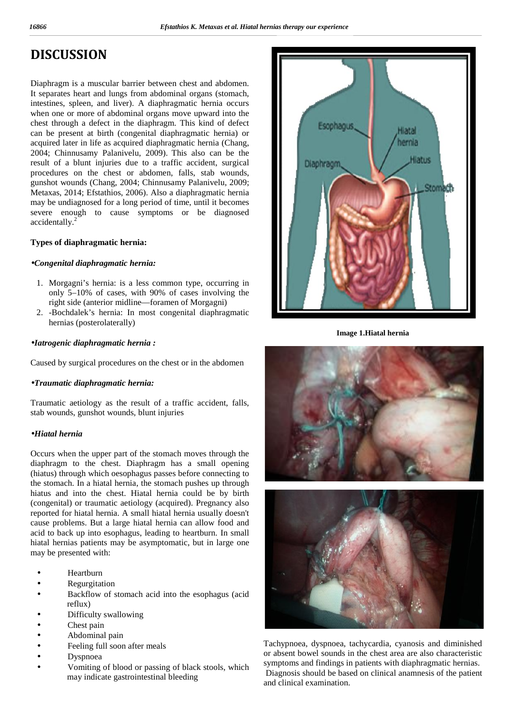# **DISCUSSION**

Diaphragm is a muscular barrier between chest and abdomen. It separates heart and lungs from abdominal organs (stomach, intestines, spleen, and liver). A diaphragmatic hernia occurs when one or more of abdominal organs move upward into the chest through a defect in the diaphragm. This kind of defect can be present at birth (congenital diaphragmatic hernia) or acquired later in life as acquired diaphragmatic hernia (Chang, 2004; Chinnusamy Palanivelu, 2009). This also can be the result of a blunt injuries due to a traffic accident, surgical procedures on the chest or abdomen, falls, stab wounds, gunshot wounds (Chang, 2004; Chinnusamy Palanivelu, 2009; Metaxas, 2014; Efstathios, 2006). Also a diaphragmatic hernia may be undiagnosed for a long period of time, until it becomes severe enough to cause symptoms or be diagnosed accidentally.<sup>2</sup>

### **Types of diaphragmatic hernia:**

#### *Congenital diaphragmatic hernia:*

- 1. Morgagni's hernia: is a less common type, occurring in only 5–10% of cases, with 90% of cases involving the right side (anterior midline—foramen of Morgagni)
- 2. -Bochdalek's hernia: In most congenital diaphragmatic hernias (posterolaterally)

#### *Iatrogenic diaphragmatic hernia :*

Caused by surgical procedures on the chest or in the abdomen

### *Traumatic diaphragmatic hernia:*

Traumatic aetiology as the result of a traffic accident, falls, stab wounds, gunshot wounds, blunt injuries

### *Hiatal hernia*

Occurs when the upper part of the stomach moves through the diaphragm to the chest. Diaphragm has a small opening (hiatus) through which oesophagus passes before connecting to the stomach. In a hiatal hernia, the stomach pushes up through hiatus and into the chest. Hiatal hernia could be by birth (congenital) or traumatic aetiology (acquired). Pregnancy also reported for hiatal hernia. A small hiatal hernia usually doesn't cause problems. But a large hiatal hernia can allow food and acid to back up into esophagus, leading to heartburn. In small hiatal hernias patients may be asymptomatic, but in large one may be presented with:

 Heartburn Regurgitation Backflow of stomach acid into the esophagus (acid reflux) Difficulty swallowing Chest pain Abdominal pain Feeling full soon after meals Dyspnoea Vomiting of blood or passing of black stools, which may indicate gastrointestinal bleeding



**Image 1.Hiatal hernia**



Tachypnoea, dyspnoea, tachycardia, cyanosis and diminished or absent bowel sounds in the chest area are also characteristic symptoms and findings in patients with diaphragmatic hernias. Diagnosis should be based on clinical anamnesis of the patient and clinical examination.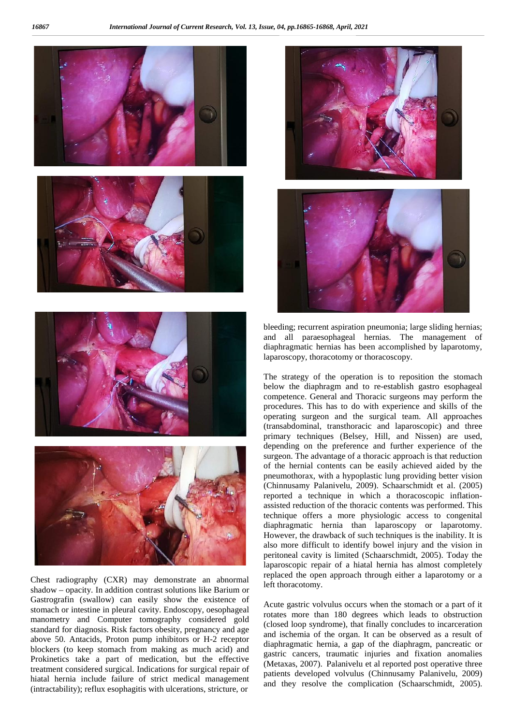

Chest radiography (CXR) may demonstrate an abnormal shadow – opacity. In addition contrast solutions like Barium or Gastrografin (swallow) can easily show the existence of stomach or intestine in pleural cavity. Endoscopy, oesophageal manometry and Computer tomography considered gold standard for diagnosis. Risk factors obesity, pregnancy and age above 50. Antacids, Proton pump inhibitors or H-2 receptor blockers (to keep stomach from making as much acid) and Prokinetics take a part of medication, but the effective treatment considered surgical. Indications for surgical repair of hiatal hernia include failure of strict medical management (intractability); reflux esophagitis with ulcerations, stricture, or



bleeding; recurrent aspiration pneumonia; large sliding hernias; and all paraesophageal hernias. The management of diaphragmatic hernias has been accomplished by laparotomy, laparoscopy, thoracotomy or thoracoscopy.

The strategy of the operation is to reposition the stomach below the diaphragm and to re-establish gastro esophageal competence. General and Thoracic surgeons may perform the procedures. This has to do with experience and skills of the operating surgeon and the surgical team. All approaches (transabdominal, transthoracic and laparoscopic) and three primary techniques (Belsey, Hill, and Nissen) are used, depending on the preference and further experience of the surgeon. The advantage of a thoracic approach is that reduction of the hernial contents can be easily achieved aided by the pneumothorax, with a hypoplastic lung providing better vision (Chinnusamy Palanivelu, 2009). Schaarschmidt et al. (2005) reported a technique in which a thoracoscopic inflation assisted reduction of the thoracic contents was performed. This technique offers a more physiologic access to congenital diaphragmatic hernia than laparoscopy or laparotomy. However, the drawback of such techniques is the inability. It is also more difficult to identify bowel injury and the vision in peritoneal cavity is limited (Schaarschmidt, 2005). Today the laparoscopic repair of a hiatal hernia has almost completely replaced the open approach through either a laparotomy or a left thoracotomy.

Acute gastric volvulus occurs when the stomach or a part of it rotates more than 180 degrees which leads to obstruction (closed loop syndrome), that finally concludes to incarceration and ischemia of the organ. It can be observed as a result of diaphragmatic hernia, a gap of the diaphragm, pancreatic or gastric cancers, traumatic injuries and fixation anomalies (Metaxas, 2007). Palanivelu et al reported post operative three patients developed volvulus (Chinnusamy Palanivelu, 2009) and they resolve the complication (Schaarschmidt, 2005).